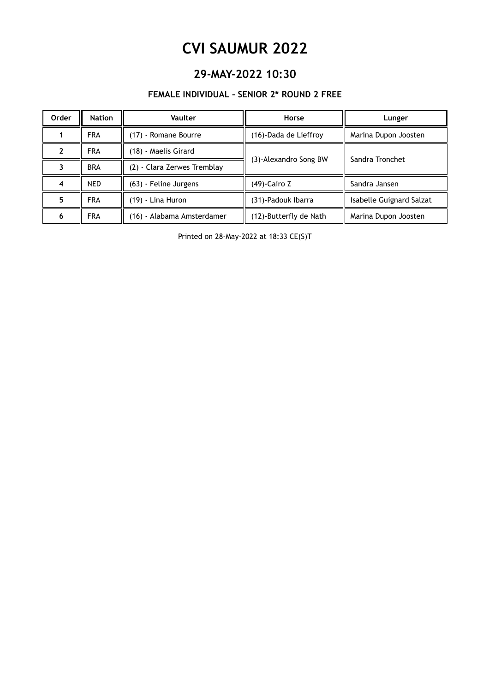### **29-MAY-2022 10:30**

#### **FEMALE INDIVIDUAL – SENIOR 2\* ROUND 2 FREE**

| Order | <b>Nation</b> | Vaulter                     | Horse                  | Lunger                   |
|-------|---------------|-----------------------------|------------------------|--------------------------|
|       | <b>FRA</b>    | (17) - Romane Bourre        | (16)-Dada de Lieffroy  | Marina Dupon Joosten     |
|       | <b>FRA</b>    | (18) - Maelis Girard        |                        | Sandra Tronchet          |
|       | <b>BRA</b>    | (2) - Clara Zerwes Tremblay | (3)-Alexandro Song BW  |                          |
|       | NED.          | (63) - Feline Jurgens       | (49)-Cairo Z           | Sandra Jansen            |
| 5     | <b>FRA</b>    | (19) - Lina Huron           | (31)-Padouk Ibarra     | Isabelle Guignard Salzat |
| 6     | <b>FRA</b>    | (16) - Alabama Amsterdamer  | (12)-Butterfly de Nath | Marina Dupon Joosten     |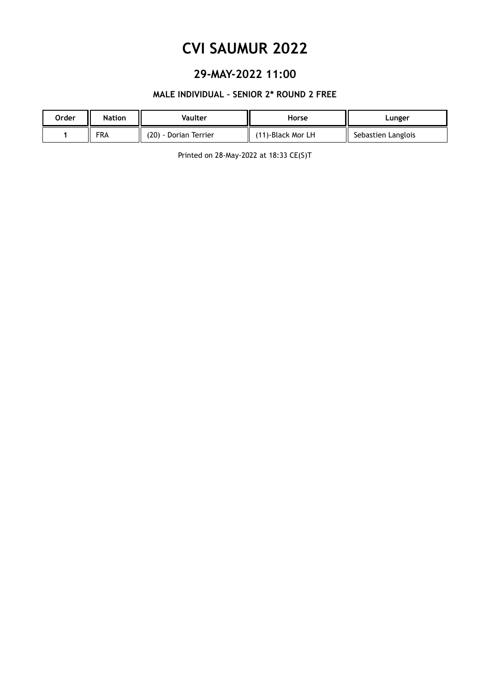### **29-MAY-2022 11:00**

#### **MALE INDIVIDUAL – SENIOR 2\* ROUND 2 FREE**

| Order | Nation     | Vaulter               | Horse             | Lunger             |
|-------|------------|-----------------------|-------------------|--------------------|
|       | <b>FRA</b> | (20) - Dorian Terrier | (11)-Black Mor LH | Sebastien Langlois |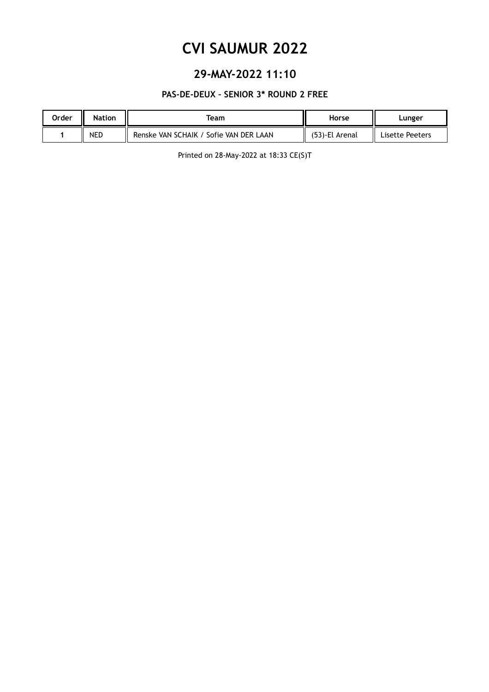### **29-MAY-2022 11:10**

#### **PAS-DE-DEUX – SENIOR 3\* ROUND 2 FREE**

| Order | <b>Nation</b> | <b>Team</b>                            | Horse          | Lunger          |
|-------|---------------|----------------------------------------|----------------|-----------------|
|       | <b>NED</b>    | Renske VAN SCHAIK / Sofie VAN DER LAAN | (53)-El Arenal | Lisette Peeters |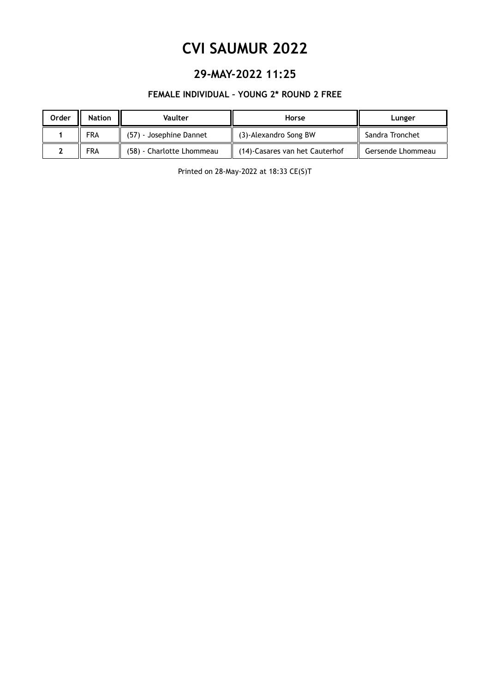### **29-MAY-2022 11:25**

#### **FEMALE INDIVIDUAL – YOUNG 2\* ROUND 2 FREE**

| Order | <b>Nation</b> | Vaulter                   | Horse                          | Lunger            |
|-------|---------------|---------------------------|--------------------------------|-------------------|
|       | <b>FRA</b>    | (57) - Josephine Dannet   | (3)-Alexandro Song BW          | Sandra Tronchet   |
|       | <b>FRA</b>    | (58) - Charlotte Lhommeau | (14)-Casares van het Cauterhof | Gersende Lhommeau |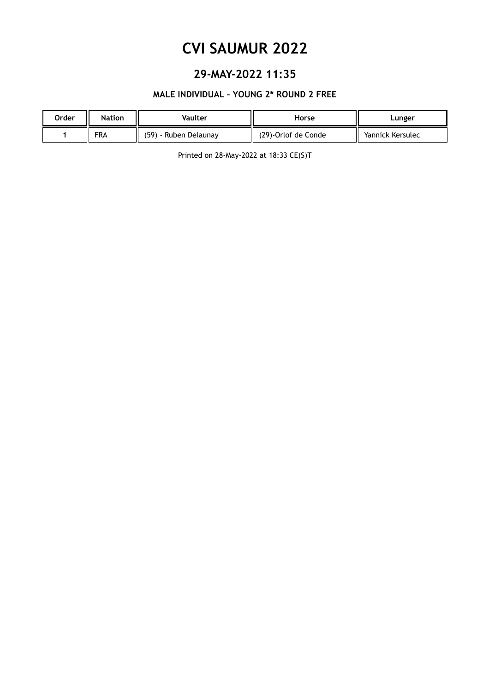### **29-MAY-2022 11:35**

#### **MALE INDIVIDUAL – YOUNG 2\* ROUND 2 FREE**

| Order | <b>Nation</b> | Vaulter               | Horse               | Lunger           |
|-------|---------------|-----------------------|---------------------|------------------|
|       | <b>FRA</b>    | (59) - Ruben Delaunay | (29)-Orlof de Conde | Yannick Kersulec |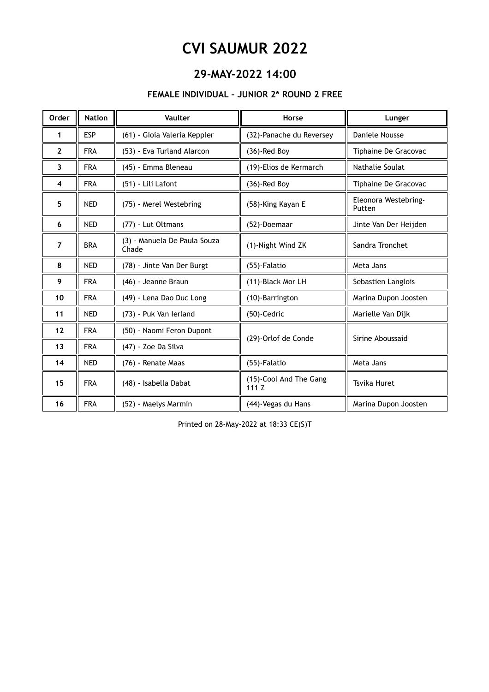### **29-MAY-2022 14:00**

#### **FEMALE INDIVIDUAL – JUNIOR 2\* ROUND 2 FREE**

| Order               | <b>Nation</b> | Vaulter                               | Horse                          | Lunger                         |
|---------------------|---------------|---------------------------------------|--------------------------------|--------------------------------|
| 1                   | <b>ESP</b>    | (61) - Gioia Valeria Keppler          | (32)-Panache du Reversey       | Daniele Nousse                 |
| $\overline{2}$      | <b>FRA</b>    | (53) - Eva Turland Alarcon            | $(36)$ -Red Boy                | Tiphaine De Gracovac           |
| 3                   | <b>FRA</b>    | (45) - Emma Bleneau                   | (19)-Elios de Kermarch         | Nathalie Soulat                |
| $\overline{\bf{4}}$ | <b>FRA</b>    | (51) - Lili Lafont                    | (36)-Red Boy                   | Tiphaine De Gracovac           |
| 5                   | <b>NED</b>    | (75) - Merel Westebring               | (58)-King Kayan E              | Eleonora Westebring-<br>Putten |
| 6                   | <b>NED</b>    | (77) - Lut Oltmans                    | (52)-Doemaar                   | Jinte Van Der Heijden          |
| $\overline{7}$      | <b>BRA</b>    | (3) - Manuela De Paula Souza<br>Chade | (1)-Night Wind ZK              | Sandra Tronchet                |
| 8                   | <b>NED</b>    | (78) - Jinte Van Der Burgt            | (55)-Falatio                   | Meta Jans                      |
| 9                   | <b>FRA</b>    | (46) - Jeanne Braun                   | (11)-Black Mor LH              | Sebastien Langlois             |
| 10                  | <b>FRA</b>    | (49) - Lena Dao Duc Long              | (10)-Barrington                | Marina Dupon Joosten           |
| 11                  | <b>NED</b>    | (73) - Puk Van Ierland                | (50)-Cedric                    | Marielle Van Dijk              |
| 12                  | <b>FRA</b>    | (50) - Naomi Feron Dupont             |                                |                                |
| 13                  | <b>FRA</b>    | (47) - Zoe Da Silva                   | (29)-Orlof de Conde            | Sirine Aboussaid               |
| 14                  | <b>NED</b>    | (76) - Renate Maas                    | (55)-Falatio                   | Meta Jans                      |
| 15                  | <b>FRA</b>    | (48) - Isabella Dabat                 | (15)-Cool And The Gang<br>111Z | <b>Tsvika Huret</b>            |
| 16                  | <b>FRA</b>    | (52) - Maelys Marmin                  | (44)-Vegas du Hans             | Marina Dupon Joosten           |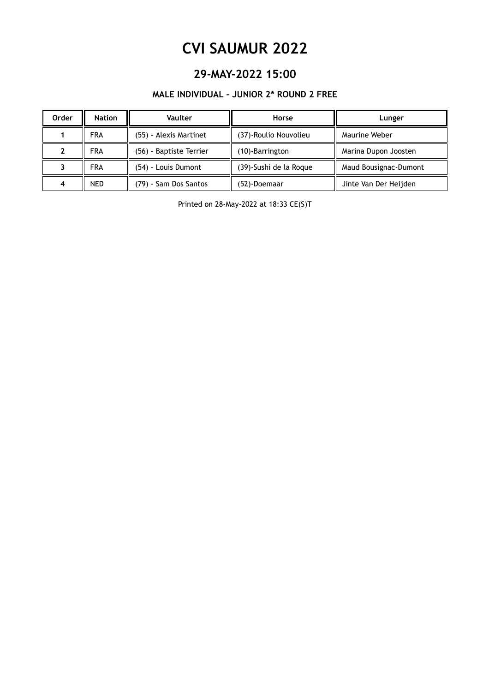### **29-MAY-2022 15:00**

#### **MALE INDIVIDUAL – JUNIOR 2\* ROUND 2 FREE**

| Order | <b>Nation</b> | Vaulter                 | Horse                  | Lunger                |
|-------|---------------|-------------------------|------------------------|-----------------------|
|       | <b>FRA</b>    | (55) - Alexis Martinet  | (37)-Roulio Nouvolieu  | Maurine Weber         |
|       | <b>FRA</b>    | (56) - Baptiste Terrier | (10)-Barrington        | Marina Dupon Joosten  |
|       | <b>FRA</b>    | (54) - Louis Dumont     | (39)-Sushi de la Roque | Maud Bousignac-Dumont |
|       | <b>NED</b>    | (79) - Sam Dos Santos   | (52)-Doemaar           | Jinte Van Der Heijden |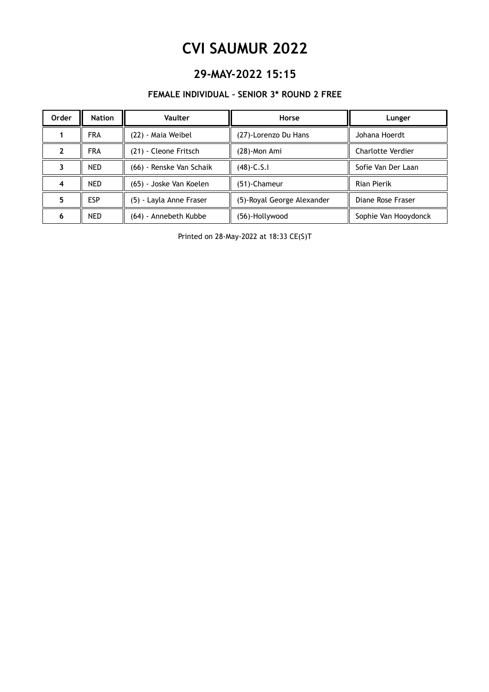### **29-MAY-2022 15:15**

#### **FEMALE INDIVIDUAL – SENIOR 3\* ROUND 2 FREE**

| Order | <b>Nation</b> | Vaulter                  | Horse                      | Lunger                   |
|-------|---------------|--------------------------|----------------------------|--------------------------|
|       | <b>FRA</b>    | (22) - Maia Weibel       | (27)-Lorenzo Du Hans       | Johana Hoerdt            |
|       | <b>FRA</b>    | (21) - Cleone Fritsch    | (28)-Mon Ami               | <b>Charlotte Verdier</b> |
|       | <b>NED</b>    | (66) - Renske Van Schaik | $(48)$ -C.S.I              | Sofie Van Der Laan       |
|       | <b>NED</b>    | (65) - Joske Van Koelen  | (51)-Chameur               | Rian Pierik              |
|       | <b>ESP</b>    | (5) - Layla Anne Fraser  | (5)-Royal George Alexander | Diane Rose Fraser        |
| 6     | <b>NED</b>    | (64) - Annebeth Kubbe    | (56)-Hollywood             | Sophie Van Hooydonck     |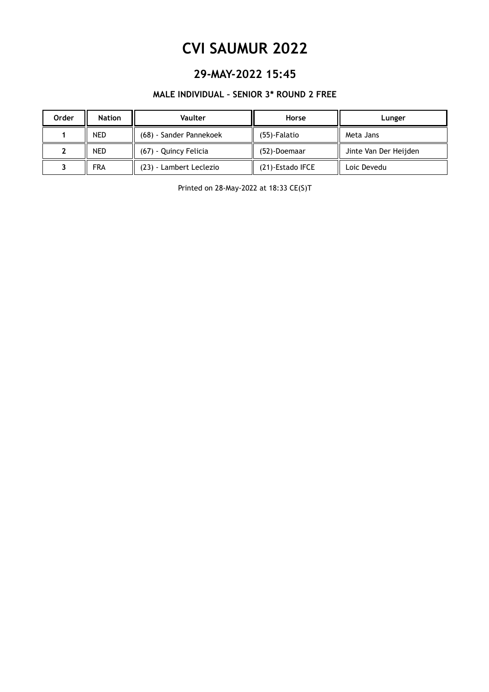### **29-MAY-2022 15:45**

#### **MALE INDIVIDUAL – SENIOR 3\* ROUND 2 FREE**

| Order | <b>Nation</b> | Vaulter                 | Horse            | Lunger                |
|-------|---------------|-------------------------|------------------|-----------------------|
|       | <b>NED</b>    | (68) - Sander Pannekoek | (55)-Falatio     | Meta Jans             |
|       | <b>NED</b>    | (67) - Quincy Felicia   | (52)-Doemaar     | Jinte Van Der Heijden |
|       | <b>FRA</b>    | (23) - Lambert Leclezio | (21)-Estado IFCE | Loic Devedu           |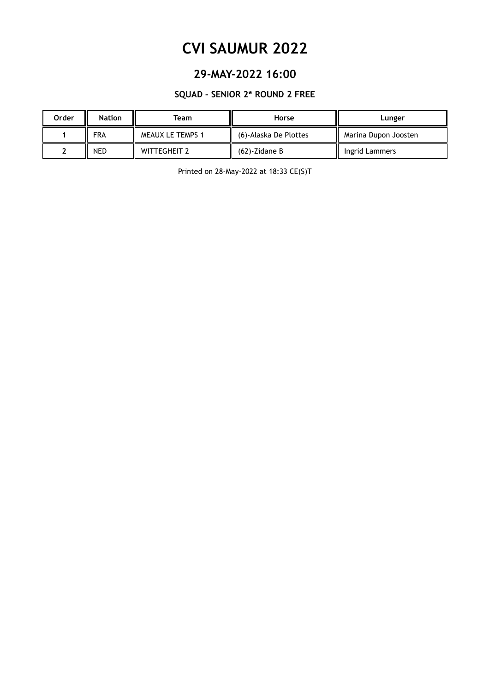### **29-MAY-2022 16:00**

#### **SQUAD – SENIOR 2\* ROUND 2 FREE**

| Order | <b>Nation</b> | Team                    | Horse                 | Lunger               |
|-------|---------------|-------------------------|-----------------------|----------------------|
|       | <b>FRA</b>    | <b>MEAUX LE TEMPS 1</b> | (6)-Alaska De Plottes | Marina Dupon Joosten |
|       | NED           | <b>WITTEGHEIT 2</b>     | $(62)$ -Zidane B      | Ingrid Lammers       |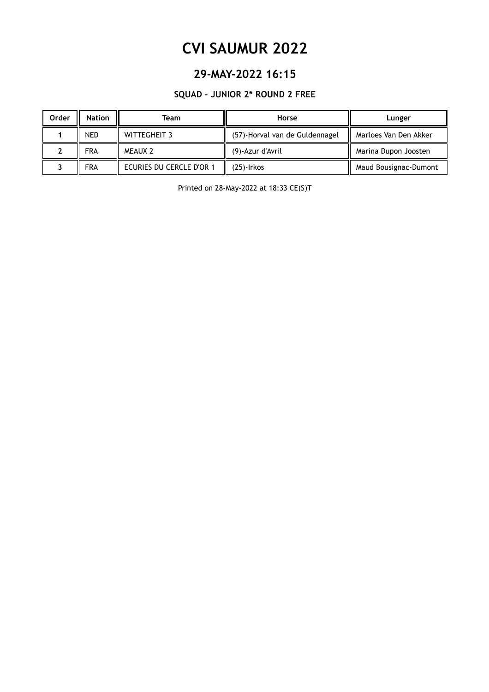### **29-MAY-2022 16:15**

#### **SQUAD – JUNIOR 2\* ROUND 2 FREE**

| Order | <b>Nation</b> | Team                     | Horse                          | Lunger                |
|-------|---------------|--------------------------|--------------------------------|-----------------------|
|       | <b>NED</b>    | WITTEGHEIT 3             | (57)-Horval van de Guldennagel | Marloes Van Den Akker |
|       | <b>FRA</b>    | <b>MEAUX 2</b>           | (9)-Azur d'Avril               | Marina Dupon Joosten  |
|       | <b>FRA</b>    | ECURIES DU CERCLE D'OR 1 | (25)-Irkos                     | Maud Bousignac-Dumont |